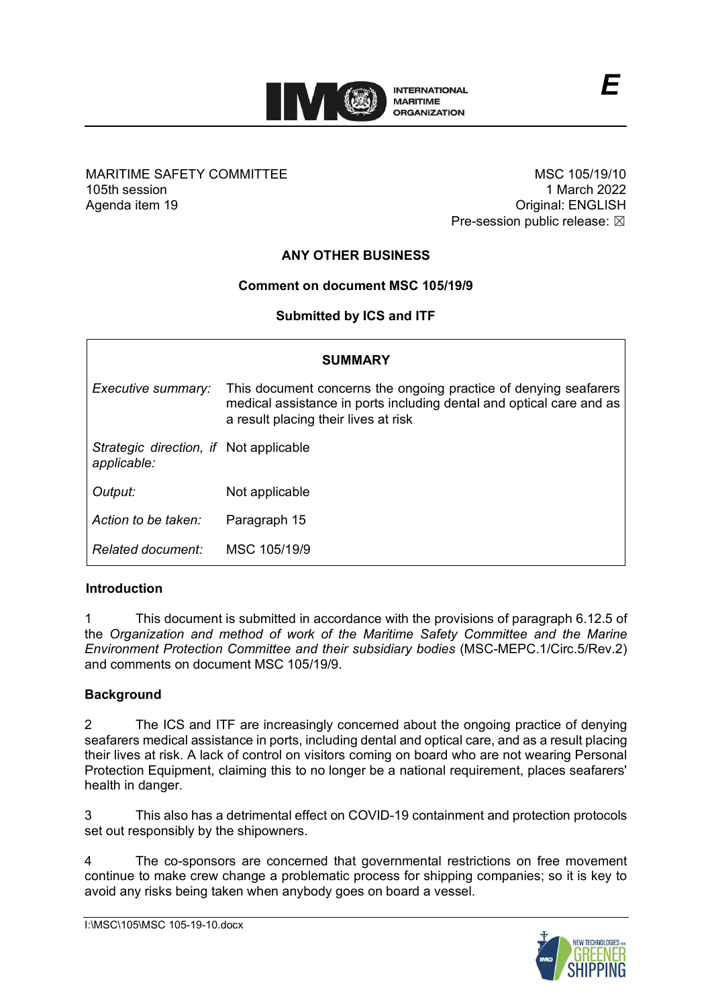

## MARITIME SAFETY COMMITTEE 105th session Agenda item 19

MSC 105/19/10 1 March 2022 Original: ENGLISH Pre-session public release:  $\boxtimes$ 

*E*

# **ANY OTHER BUSINESS**

# **Comment on document MSC 105/19/9**

# **Submitted by ICS and ITF**

| <b>SUMMARY</b>                                        |                                                                                                                                                                                  |
|-------------------------------------------------------|----------------------------------------------------------------------------------------------------------------------------------------------------------------------------------|
| Executive summary:                                    | This document concerns the ongoing practice of denying seafarers<br>medical assistance in ports including dental and optical care and as<br>a result placing their lives at risk |
| Strategic direction, if Not applicable<br>applicable: |                                                                                                                                                                                  |
| Output:                                               | Not applicable                                                                                                                                                                   |
| Action to be taken:                                   | Paragraph 15                                                                                                                                                                     |
| Related document:                                     | MSC 105/19/9                                                                                                                                                                     |

## **Introduction**

1 This document is submitted in accordance with the provisions of paragraph 6.12.5 of the *Organization and method of work of the Maritime Safety Committee and the Marine Environment Protection Committee and their subsidiary bodies* (MSC-MEPC.1/Circ.5/Rev.2) and comments on document MSC 105/19/9.

## **Background**

2 The ICS and ITF are increasingly concerned about the ongoing practice of denying seafarers medical assistance in ports, including dental and optical care, and as a result placing their lives at risk. A lack of control on visitors coming on board who are not wearing Personal Protection Equipment, claiming this to no longer be a national requirement, places seafarers' health in danger.

3 This also has a detrimental effect on COVID-19 containment and protection protocols set out responsibly by the shipowners.

4 The co-sponsors are concerned that governmental restrictions on free movement continue to make crew change a problematic process for shipping companies; so it is key to avoid any risks being taken when anybody goes on board a vessel.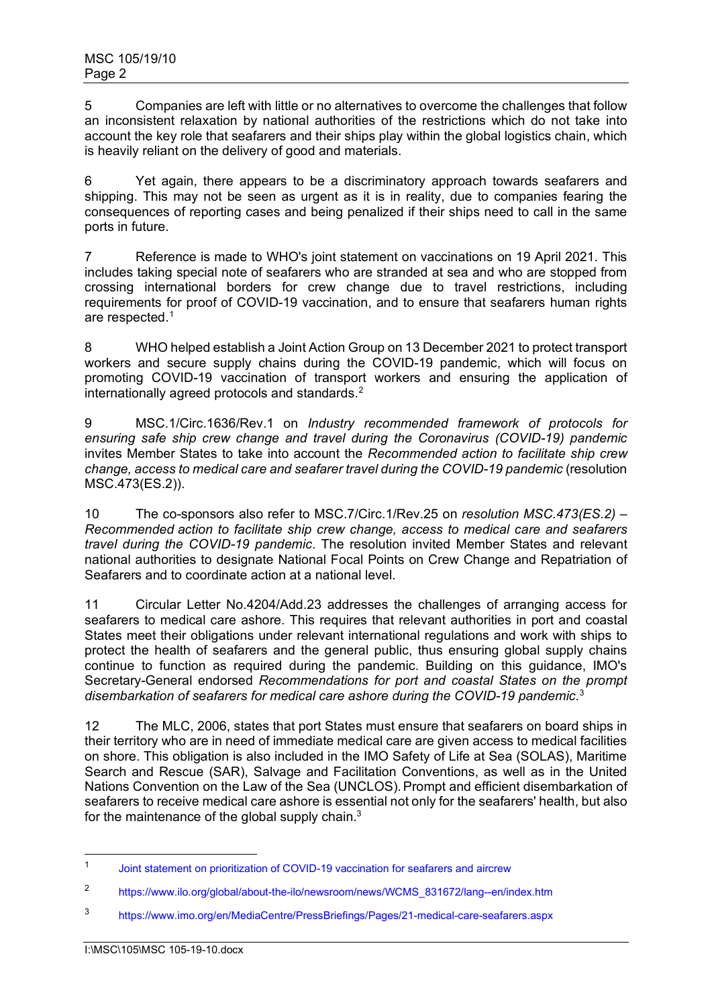5 Companies are left with little or no alternatives to overcome the challenges that follow an inconsistent relaxation by national authorities of the restrictions which do not take into account the key role that seafarers and their ships play within the global logistics chain, which is heavily reliant on the delivery of good and materials.

6 Yet again, there appears to be a discriminatory approach towards seafarers and shipping. This may not be seen as urgent as it is in reality, due to companies fearing the consequences of reporting cases and being penalized if their ships need to call in the same ports in future.

7 Reference is made to WHO's joint statement on vaccinations on 19 April 2021. This includes taking special note of seafarers who are stranded at sea and who are stopped from crossing international borders for crew change due to travel restrictions, including requirements for proof of COVID-19 vaccination, and to ensure that seafarers human rights are respected.<sup>[1](#page-1-0)</sup>

8 WHO helped establish a Joint Action Group on 13 December 2021 to protect transport workers and secure supply chains during the COVID-19 pandemic, which will focus on promoting COVID-19 vaccination of transport workers and ensuring the application of internationally agreed protocols and standards.<sup>[2](#page-1-1)</sup>

9 MSC.1/Circ.1636/Rev.1 on *Industry recommended framework of protocols for ensuring safe ship crew change and travel during the Coronavirus (COVID-19) pandemic* invites Member States to take into account the *Recommended action to facilitate ship crew change, access to medical care and seafarer travel during the COVID-19 pandemic* (resolution MSC.473(ES.2)).

10 The co-sponsors also refer to MSC.7/Circ.1/Rev.25 on *resolution MSC.473(ES.2) – Recommended action to facilitate ship crew change, access to medical care and seafarers travel during the COVID-19 pandemic*. The resolution invited Member States and relevant national authorities to designate National Focal Points on Crew Change and Repatriation of Seafarers and to coordinate action at a national level.

11 Circular Letter No.4204/Add.23 addresses the challenges of arranging access for seafarers to medical care ashore. This requires that relevant authorities in port and coastal States meet their obligations under relevant international regulations and work with ships to protect the health of seafarers and the general public, thus ensuring global supply chains continue to function as required during the pandemic. Building on this guidance, IMO's Secretary-General endorsed *Recommendations for port and coastal States on the prompt disembarkation of seafarers for medical care ashore during the COVID-19 pandemic*. [3](#page-1-2)

12 The MLC, 2006, states that port States must ensure that seafarers on board ships in their territory who are in need of immediate medical care are given access to medical facilities on shore. This obligation is also included in the IMO Safety of Life at Sea (SOLAS), Maritime Search and Rescue (SAR), Salvage and Facilitation Conventions, as well as in the United Nations Convention on the Law of the Sea (UNCLOS). Prompt and efficient disembarkation of seafarers to receive medical care ashore is essential not only for the seafarers' health, but also for the maintenance of the global supply chain. $3$ 

<span id="page-1-0"></span><sup>1</sup> [Joint statement on prioritization of COVID-19 vaccination for seafarers and aircrew](https://www.who.int/news/item/25-03-2021-joint-statement-on-prioritization-of-covid-19-vaccination-for-seafarers-and-aircrew)

<span id="page-1-1"></span><sup>2</sup> [https://www.ilo.org/global/about-the-ilo/newsroom/news/WCMS\\_831672/lang--en/index.htm](https://www.ilo.org/global/about-the-ilo/newsroom/news/WCMS_831672/lang--en/index.htm)

<span id="page-1-2"></span><sup>3</sup> <https://www.imo.org/en/MediaCentre/PressBriefings/Pages/21-medical-care-seafarers.aspx>